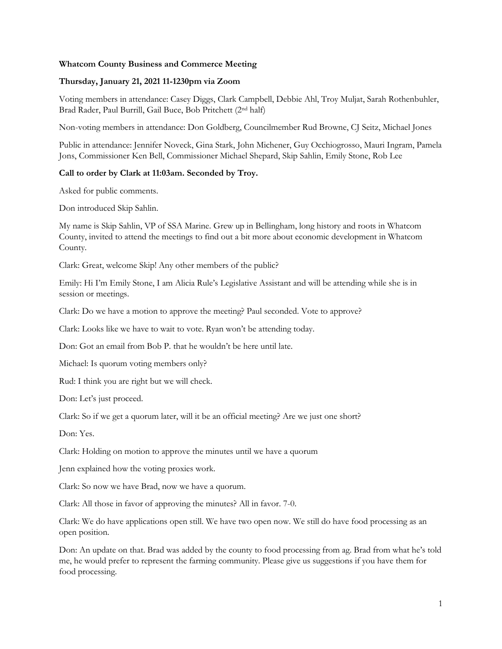## **Whatcom County Business and Commerce Meeting**

## **Thursday, January 21, 2021 11-1230pm via Zoom**

Voting members in attendance: Casey Diggs, Clark Campbell, Debbie Ahl, Troy Muljat, Sarah Rothenbuhler, Brad Rader, Paul Burrill, Gail Buce, Bob Pritchett (2nd half)

Non-voting members in attendance: Don Goldberg, Councilmember Rud Browne, CJ Seitz, Michael Jones

Public in attendance: Jennifer Noveck, Gina Stark, John Michener, Guy Occhiogrosso, Mauri Ingram, Pamela Jons, Commissioner Ken Bell, Commissioner Michael Shepard, Skip Sahlin, Emily Stone, Rob Lee

## **Call to order by Clark at 11:03am. Seconded by Troy.**

Asked for public comments.

Don introduced Skip Sahlin.

My name is Skip Sahlin, VP of SSA Marine. Grew up in Bellingham, long history and roots in Whatcom County, invited to attend the meetings to find out a bit more about economic development in Whatcom County.

Clark: Great, welcome Skip! Any other members of the public?

Emily: Hi I'm Emily Stone, I am Alicia Rule's Legislative Assistant and will be attending while she is in session or meetings.

Clark: Do we have a motion to approve the meeting? Paul seconded. Vote to approve?

Clark: Looks like we have to wait to vote. Ryan won't be attending today.

Don: Got an email from Bob P. that he wouldn't be here until late.

Michael: Is quorum voting members only?

Rud: I think you are right but we will check.

Don: Let's just proceed.

Clark: So if we get a quorum later, will it be an official meeting? Are we just one short?

Don: Yes.

Clark: Holding on motion to approve the minutes until we have a quorum

Jenn explained how the voting proxies work.

Clark: So now we have Brad, now we have a quorum.

Clark: All those in favor of approving the minutes? All in favor. 7-0.

Clark: We do have applications open still. We have two open now. We still do have food processing as an open position.

Don: An update on that. Brad was added by the county to food processing from ag. Brad from what he's told me, he would prefer to represent the farming community. Please give us suggestions if you have them for food processing.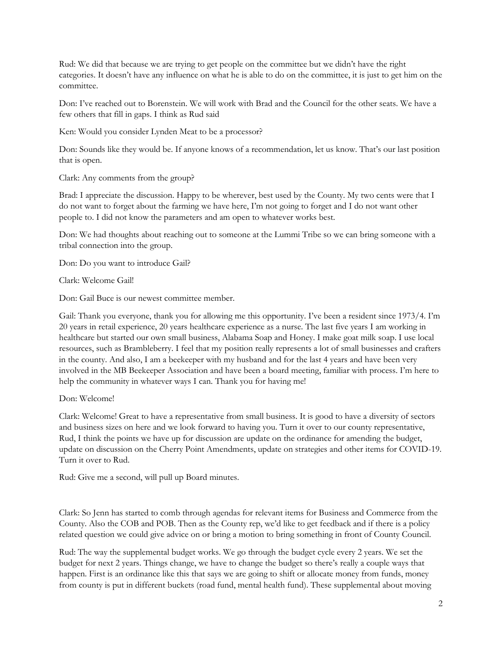Rud: We did that because we are trying to get people on the committee but we didn't have the right categories. It doesn't have any influence on what he is able to do on the committee, it is just to get him on the committee.

Don: I've reached out to Borenstein. We will work with Brad and the Council for the other seats. We have a few others that fill in gaps. I think as Rud said

Ken: Would you consider Lynden Meat to be a processor?

Don: Sounds like they would be. If anyone knows of a recommendation, let us know. That's our last position that is open.

Clark: Any comments from the group?

Brad: I appreciate the discussion. Happy to be wherever, best used by the County. My two cents were that I do not want to forget about the farming we have here, I'm not going to forget and I do not want other people to. I did not know the parameters and am open to whatever works best.

Don: We had thoughts about reaching out to someone at the Lummi Tribe so we can bring someone with a tribal connection into the group.

Don: Do you want to introduce Gail?

Clark: Welcome Gail!

Don: Gail Buce is our newest committee member.

Gail: Thank you everyone, thank you for allowing me this opportunity. I've been a resident since 1973/4. I'm 20 years in retail experience, 20 years healthcare experience as a nurse. The last five years I am working in healthcare but started our own small business, Alabama Soap and Honey. I make goat milk soap. I use local resources, such as Brambleberry. I feel that my position really represents a lot of small businesses and crafters in the county. And also, I am a beekeeper with my husband and for the last 4 years and have been very involved in the MB Beekeeper Association and have been a board meeting, familiar with process. I'm here to help the community in whatever ways I can. Thank you for having me!

Don: Welcome!

Clark: Welcome! Great to have a representative from small business. It is good to have a diversity of sectors and business sizes on here and we look forward to having you. Turn it over to our county representative, Rud, I think the points we have up for discussion are update on the ordinance for amending the budget, update on discussion on the Cherry Point Amendments, update on strategies and other items for COVID-19. Turn it over to Rud.

Rud: Give me a second, will pull up Board minutes.

Clark: So Jenn has started to comb through agendas for relevant items for Business and Commerce from the County. Also the COB and POB. Then as the County rep, we'd like to get feedback and if there is a policy related question we could give advice on or bring a motion to bring something in front of County Council.

Rud: The way the supplemental budget works. We go through the budget cycle every 2 years. We set the budget for next 2 years. Things change, we have to change the budget so there's really a couple ways that happen. First is an ordinance like this that says we are going to shift or allocate money from funds, money from county is put in different buckets (road fund, mental health fund). These supplemental about moving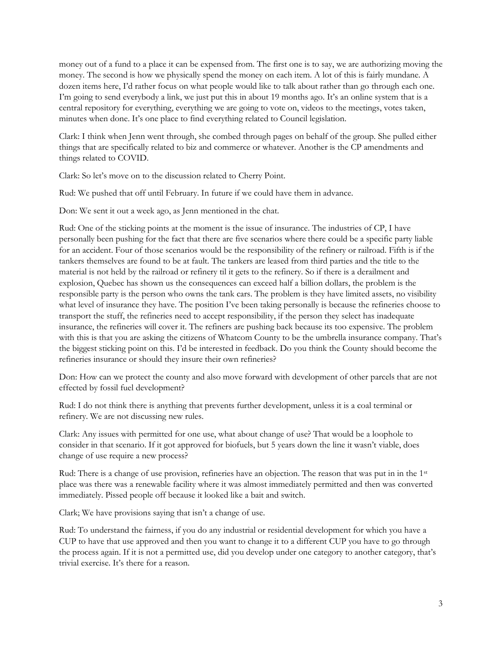money out of a fund to a place it can be expensed from. The first one is to say, we are authorizing moving the money. The second is how we physically spend the money on each item. A lot of this is fairly mundane. A dozen items here, I'd rather focus on what people would like to talk about rather than go through each one. I'm going to send everybody a link, we just put this in about 19 months ago. It's an online system that is a central repository for everything, everything we are going to vote on, videos to the meetings, votes taken, minutes when done. It's one place to find everything related to Council legislation.

Clark: I think when Jenn went through, she combed through pages on behalf of the group. She pulled either things that are specifically related to biz and commerce or whatever. Another is the CP amendments and things related to COVID.

Clark: So let's move on to the discussion related to Cherry Point.

Rud: We pushed that off until February. In future if we could have them in advance.

Don: We sent it out a week ago, as Jenn mentioned in the chat.

Rud: One of the sticking points at the moment is the issue of insurance. The industries of CP, I have personally been pushing for the fact that there are five scenarios where there could be a specific party liable for an accident. Four of those scenarios would be the responsibility of the refinery or railroad. Fifth is if the tankers themselves are found to be at fault. The tankers are leased from third parties and the title to the material is not held by the railroad or refinery til it gets to the refinery. So if there is a derailment and explosion, Quebec has shown us the consequences can exceed half a billion dollars, the problem is the responsible party is the person who owns the tank cars. The problem is they have limited assets, no visibility what level of insurance they have. The position I've been taking personally is because the refineries choose to transport the stuff, the refineries need to accept responsibility, if the person they select has inadequate insurance, the refineries will cover it. The refiners are pushing back because its too expensive. The problem with this is that you are asking the citizens of Whatcom County to be the umbrella insurance company. That's the biggest sticking point on this. I'd be interested in feedback. Do you think the County should become the refineries insurance or should they insure their own refineries?

Don: How can we protect the county and also move forward with development of other parcels that are not effected by fossil fuel development?

Rud: I do not think there is anything that prevents further development, unless it is a coal terminal or refinery. We are not discussing new rules.

Clark: Any issues with permitted for one use, what about change of use? That would be a loophole to consider in that scenario. If it got approved for biofuels, but 5 years down the line it wasn't viable, does change of use require a new process?

Rud: There is a change of use provision, refineries have an objection. The reason that was put in in the 1<sup>st</sup> place was there was a renewable facility where it was almost immediately permitted and then was converted immediately. Pissed people off because it looked like a bait and switch.

Clark; We have provisions saying that isn't a change of use.

Rud: To understand the fairness, if you do any industrial or residential development for which you have a CUP to have that use approved and then you want to change it to a different CUP you have to go through the process again. If it is not a permitted use, did you develop under one category to another category, that's trivial exercise. It's there for a reason.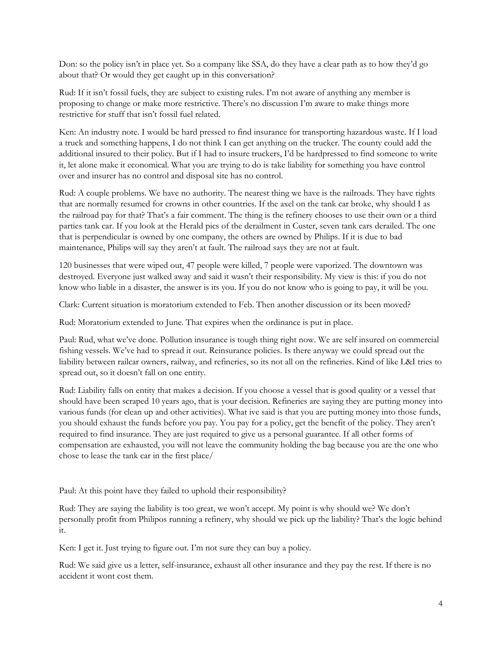Don: so the policy isn't in place yet. So a company like SSA, do they have a clear path as to how they'd go about that? Or would they get caught up in this conversation?

Rud: If it isn't fossil fuels, they are subject to existing rules. I'm not aware of anything any member is proposing to change or make more restrictive. There's no discussion I'm aware to make things more restrictive for stuff that isn't fossil fuel related.

Ken: An industry note. I would be hard pressed to find insurance for transporting hazardous waste. If I load a truck and something happens, I do not think I can get anything on the trucker. The county could add the additional insured to their policy. But if I had to insure truckers, I'd be hardpressed to find someone to write it, let alone make it economical. What you are trying to do is take liability for something you have control over and insurer has no control and disposal site has no control.

Rud: A couple problems. We have no authority. The nearest thing we have is the railroads. They have rights that are normally resumed for crowns in other countries. If the axel on the tank car broke, why should I as the railroad pay for that? That's a fair comment. The thing is the refinery chooses to use their own or a third parties tank car. If you look at the Herald pics of the derailment in Custer, seven tank cars derailed. The one that is perpendicular is owned by one company, the others are owned by Philips. If it is due to bad maintenance, Philips will say they aren't at fault. The railroad says they are not at fault.

120 businesses that were wiped out, 47 people were killed, 7 people were vaporized. The downtown was destroyed. Everyone just walked away and said it wasn't their responsibility. My view is this: if you do not know who liable in a disaster, the answer is its you. If you do not know who is going to pay, it will be you.

Clark: Current situation is moratorium extended to Feb. Then another discussion or its been moved?

Rud: Moratorium extended to June. That expires when the ordinance is put in place.

Paul: Rud, what we've done. Pollution insurance is tough thing right now. We are self insured on commercial fishing vessels. We've had to spread it out. Reinsurance policies. Is there anyway we could spread out the liability between railcar owners, railway, and refineries, so its not all on the refineries. Kind of like L&I tries to spread out, so it doesn't fall on one entity.

Rud: Liability falls on entity that makes a decision. If you choose a vessel that is good quality or a vessel that should have been scraped 10 years ago, that is your decision. Refineries are saying they are putting money into various funds (for clean up and other activities). What ive said is that you are putting money into those funds, you should exhaust the funds before you pay. You pay for a policy, get the benefit of the policy. They aren't required to find insurance. They are just required to give us a personal guarantee. If all other forms of compensation are exhausted, you will not leave the community holding the bag because you are the one who chose to lease the tank car in the first place/

Paul: At this point have they failed to uphold their responsibility?

Rud: They are saying the liability is too great, we won't accept. My point is why should we? We don't personally profit from Philipos running a refinery, why should we pick up the liability? That's the logic behind it.

Ken: I get it. Just trying to figure out. I'm not sure they can buy a policy.

Rud: We said give us a letter, self-insurance, exhaust all other insurance and they pay the rest. If there is no accident it wont cost them.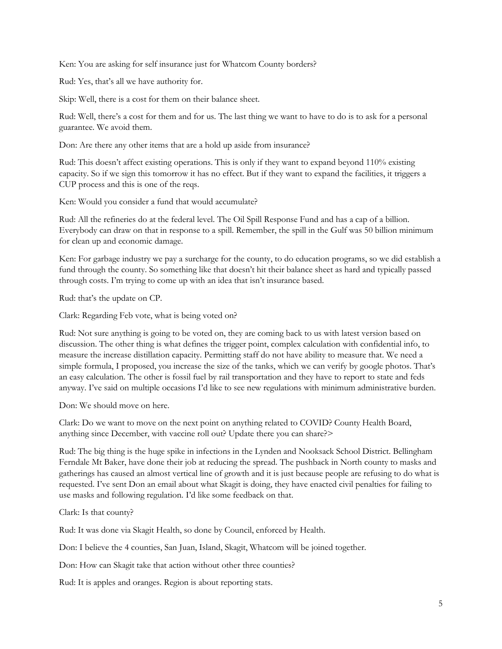Ken: You are asking for self insurance just for Whatcom County borders?

Rud: Yes, that's all we have authority for.

Skip: Well, there is a cost for them on their balance sheet.

Rud: Well, there's a cost for them and for us. The last thing we want to have to do is to ask for a personal guarantee. We avoid them.

Don: Are there any other items that are a hold up aside from insurance?

Rud: This doesn't affect existing operations. This is only if they want to expand beyond 110% existing capacity. So if we sign this tomorrow it has no effect. But if they want to expand the facilities, it triggers a CUP process and this is one of the reqs.

Ken: Would you consider a fund that would accumulate?

Rud: All the refineries do at the federal level. The Oil Spill Response Fund and has a cap of a billion. Everybody can draw on that in response to a spill. Remember, the spill in the Gulf was 50 billion minimum for clean up and economic damage.

Ken: For garbage industry we pay a surcharge for the county, to do education programs, so we did establish a fund through the county. So something like that doesn't hit their balance sheet as hard and typically passed through costs. I'm trying to come up with an idea that isn't insurance based.

Rud: that's the update on CP.

Clark: Regarding Feb vote, what is being voted on?

Rud: Not sure anything is going to be voted on, they are coming back to us with latest version based on discussion. The other thing is what defines the trigger point, complex calculation with confidential info, to measure the increase distillation capacity. Permitting staff do not have ability to measure that. We need a simple formula, I proposed, you increase the size of the tanks, which we can verify by google photos. That's an easy calculation. The other is fossil fuel by rail transportation and they have to report to state and feds anyway. I've said on multiple occasions I'd like to see new regulations with minimum administrative burden.

Don: We should move on here.

Clark: Do we want to move on the next point on anything related to COVID? County Health Board, anything since December, with vaccine roll out? Update there you can share?>

Rud: The big thing is the huge spike in infections in the Lynden and Nooksack School District. Bellingham Ferndale Mt Baker, have done their job at reducing the spread. The pushback in North county to masks and gatherings has caused an almost vertical line of growth and it is just because people are refusing to do what is requested. I've sent Don an email about what Skagit is doing, they have enacted civil penalties for failing to use masks and following regulation. I'd like some feedback on that.

Clark: Is that county?

Rud: It was done via Skagit Health, so done by Council, enforced by Health.

Don: I believe the 4 counties, San Juan, Island, Skagit, Whatcom will be joined together.

Don: How can Skagit take that action without other three counties?

Rud: It is apples and oranges. Region is about reporting stats.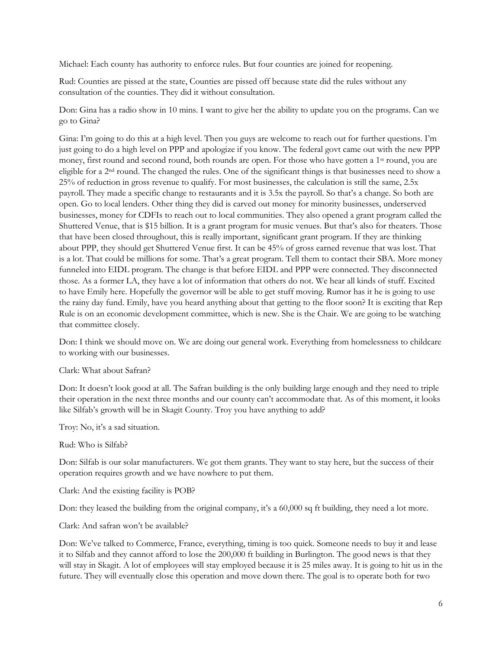Michael: Each county has authority to enforce rules. But four counties are joined for reopening.

Rud: Counties are pissed at the state, Counties are pissed off because state did the rules without any consultation of the counties. They did it without consultation.

Don: Gina has a radio show in 10 mins. I want to give her the ability to update you on the programs. Can we go to Gina?

Gina: I'm going to do this at a high level. Then you guys are welcome to reach out for further questions. I'm just going to do a high level on PPP and apologize if you know. The federal govt came out with the new PPP money, first round and second round, both rounds are open. For those who have gotten a 1<sup>st</sup> round, you are eligible for a 2nd round. The changed the rules. One of the significant things is that businesses need to show a 25% of reduction in gross revenue to qualify. For most businesses, the calculation is still the same, 2.5x payroll. They made a specific change to restaurants and it is 3.5x the payroll. So that's a change. So both are open. Go to local lenders. Other thing they did is carved out money for minority businesses, underserved businesses, money for CDFIs to reach out to local communities. They also opened a grant program called the Shuttered Venue, that is \$15 billion. It is a grant program for music venues. But that's also for theaters. Those that have been closed throughout, this is really important, significant grant program. If they are thinking about PPP, they should get Shuttered Venue first. It can be 45% of gross earned revenue that was lost. That is a lot. That could be millions for some. That's a great program. Tell them to contact their SBA. More money funneled into EIDL program. The change is that before EIDL and PPP were connected. They disconnected those. As a former LA, they have a lot of information that others do not. We hear all kinds of stuff. Excited to have Emily here. Hopefully the governor will be able to get stuff moving. Rumor has it he is going to use the rainy day fund. Emily, have you heard anything about that getting to the floor soon? It is exciting that Rep Rule is on an economic development committee, which is new. She is the Chair. We are going to be watching that committee closely.

Don: I think we should move on. We are doing our general work. Everything from homelessness to childcare to working with our businesses.

## Clark: What about Safran?

Don: It doesn't look good at all. The Safran building is the only building large enough and they need to triple their operation in the next three months and our county can't accommodate that. As of this moment, it looks like Silfab's growth will be in Skagit County. Troy you have anything to add?

Troy: No, it's a sad situation.

Rud: Who is Silfab?

Don: Silfab is our solar manufacturers. We got them grants. They want to stay here, but the success of their operation requires growth and we have nowhere to put them.

Clark: And the existing facility is POB?

Don: they leased the building from the original company, it's a 60,000 sq ft building, they need a lot more.

Clark: And safran won't be available?

Don: We've talked to Commerce, France, everything, timing is too quick. Someone needs to buy it and lease it to Silfab and they cannot afford to lose the 200,000 ft building in Burlington. The good news is that they will stay in Skagit. A lot of employees will stay employed because it is 25 miles away. It is going to hit us in the future. They will eventually close this operation and move down there. The goal is to operate both for two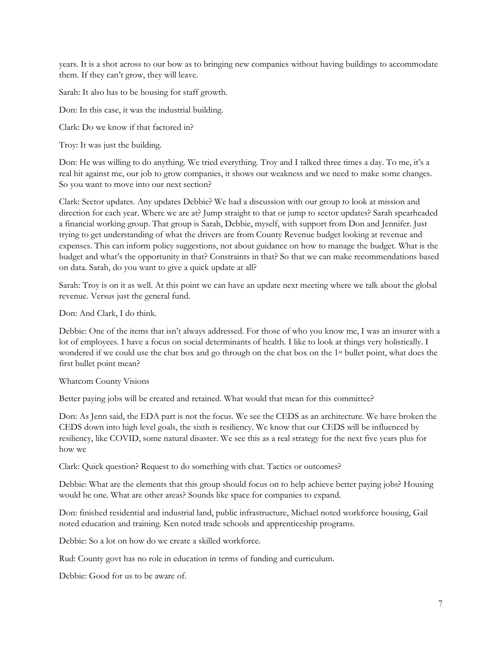years. It is a shot across to our bow as to bringing new companies without having buildings to accommodate them. If they can't grow, they will leave.

Sarah: It also has to be housing for staff growth.

Don: In this case, it was the industrial building.

Clark: Do we know if that factored in?

Troy: It was just the building.

Don: He was willing to do anything. We tried everything. Troy and I talked three times a day. To me, it's a real hit against me, our job to grow companies, it shows our weakness and we need to make some changes. So you want to move into our next section?

Clark: Sector updates. Any updates Debbie? We had a discussion with our group to look at mission and direction for each year. Where we are at? Jump straight to that or jump to sector updates? Sarah spearheaded a financial working group. That group is Sarah, Debbie, myself, with support from Don and Jennifer. Just trying to get understanding of what the drivers are from County Revenue budget looking at revenue and expenses. This can inform policy suggestions, not about guidance on how to manage the budget. What is the budget and what's the opportunity in that? Constraints in that? So that we can make recommendations based on data. Sarah, do you want to give a quick update at all?

Sarah: Troy is on it as well. At this point we can have an update next meeting where we talk about the global revenue. Versus just the general fund.

Don: And Clark, I do think.

Debbie: One of the items that isn't always addressed. For those of who you know me, I was an insurer with a lot of employees. I have a focus on social determinants of health. I like to look at things very holistically. I wondered if we could use the chat box and go through on the chat box on the 1st bullet point, what does the first bullet point mean?

Whatcom County Visions

Better paying jobs will be created and retained. What would that mean for this committee?

Don: As Jenn said, the EDA part is not the focus. We see the CEDS as an architecture. We have broken the CEDS down into high level goals, the sixth is resiliency. We know that our CEDS will be influenced by resiliency, like COVID, some natural disaster. We see this as a real strategy for the next five years plus for how we

Clark: Quick question? Request to do something with chat. Tactics or outcomes?

Debbie: What are the elements that this group should focus on to help achieve better paying jobs? Housing would be one. What are other areas? Sounds like space for companies to expand.

Don: finished residential and industrial land, public infrastructure, Michael noted workforce housing, Gail noted education and training. Ken noted trade schools and apprenticeship programs.

Debbie: So a lot on how do we create a skilled workforce.

Rud: County govt has no role in education in terms of funding and curriculum.

Debbie: Good for us to be aware of.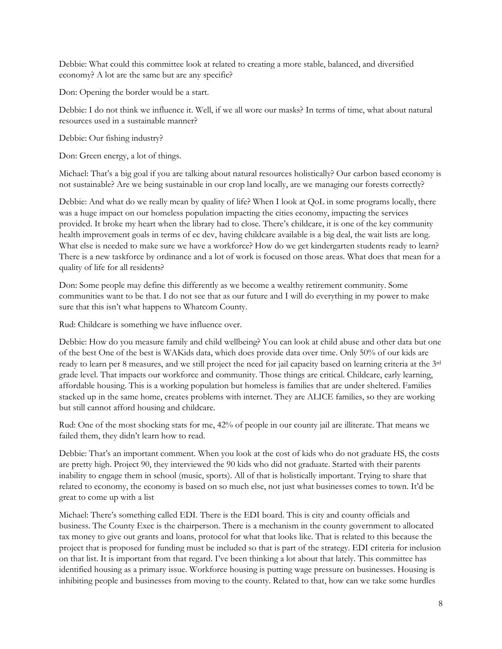Debbie: What could this committee look at related to creating a more stable, balanced, and diversified economy? A lot are the same but are any specific?

Don: Opening the border would be a start.

Debbie: I do not think we influence it. Well, if we all wore our masks? In terms of time, what about natural resources used in a sustainable manner?

Debbie: Our fishing industry?

Don: Green energy, a lot of things.

Michael: That's a big goal if you are talking about natural resources holistically? Our carbon based economy is not sustainable? Are we being sustainable in our crop land locally, are we managing our forests correctly?

Debbie: And what do we really mean by quality of life? When I look at QoL in some programs locally, there was a huge impact on our homeless population impacting the cities economy, impacting the services provided. It broke my heart when the library had to close. There's childcare, it is one of the key community health improvement goals in terms of ec dev, having childcare available is a big deal, the wait lists are long. What else is needed to make sure we have a workforce? How do we get kindergarten students ready to learn? There is a new taskforce by ordinance and a lot of work is focused on those areas. What does that mean for a quality of life for all residents?

Don: Some people may define this differently as we become a wealthy retirement community. Some communities want to be that. I do not see that as our future and I will do everything in my power to make sure that this isn't what happens to Whatcom County.

Rud: Childcare is something we have influence over.

Debbie: How do you measure family and child wellbeing? You can look at child abuse and other data but one of the best One of the best is WAKids data, which does provide data over time. Only 50% of our kids are ready to learn per 8 measures, and we still project the need for jail capacity based on learning criteria at the 3rd grade level. That impacts our workforce and community. Those things are critical. Childcare, early learning, affordable housing. This is a working population but homeless is families that are under sheltered. Families stacked up in the same home, creates problems with internet. They are ALICE families, so they are working but still cannot afford housing and childcare.

Rud: One of the most shocking stats for me, 42% of people in our county jail are illiterate. That means we failed them, they didn't learn how to read.

Debbie: That's an important comment. When you look at the cost of kids who do not graduate HS, the costs are pretty high. Project 90, they interviewed the 90 kids who did not graduate. Started with their parents inability to engage them in school (music, sports). All of that is holistically important. Trying to share that related to economy, the economy is based on so much else, not just what businesses comes to town. It'd be great to come up with a list

Michael: There's something called EDI. There is the EDI board. This is city and county officials and business. The County Exec is the chairperson. There is a mechanism in the county government to allocated tax money to give out grants and loans, protocol for what that looks like. That is related to this because the project that is proposed for funding must be included so that is part of the strategy. EDI criteria for inclusion on that list. It is important from that regard. I've been thinking a lot about that lately. This committee has identified housing as a primary issue. Workforce housing is putting wage pressure on businesses. Housing is inhibiting people and businesses from moving to the county. Related to that, how can we take some hurdles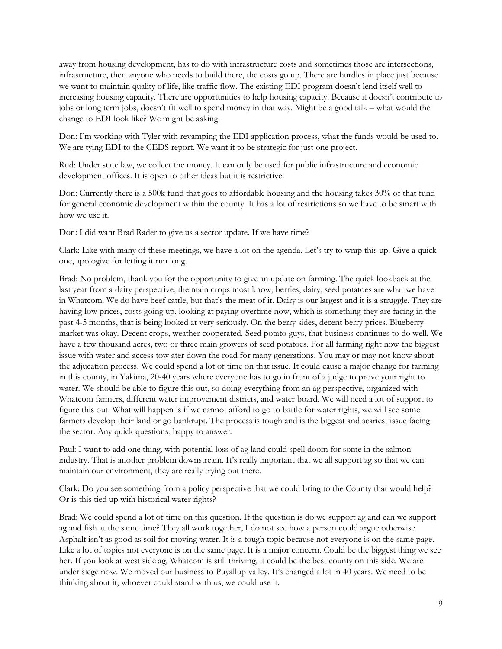away from housing development, has to do with infrastructure costs and sometimes those are intersections, infrastructure, then anyone who needs to build there, the costs go up. There are hurdles in place just because we want to maintain quality of life, like traffic flow. The existing EDI program doesn't lend itself well to increasing housing capacity. There are opportunities to help housing capacity. Because it doesn't contribute to jobs or long term jobs, doesn't fit well to spend money in that way. Might be a good talk – what would the change to EDI look like? We might be asking.

Don: I'm working with Tyler with revamping the EDI application process, what the funds would be used to. We are tying EDI to the CEDS report. We want it to be strategic for just one project.

Rud: Under state law, we collect the money. It can only be used for public infrastructure and economic development offices. It is open to other ideas but it is restrictive.

Don: Currently there is a 500k fund that goes to affordable housing and the housing takes 30% of that fund for general economic development within the county. It has a lot of restrictions so we have to be smart with how we use it.

Don: I did want Brad Rader to give us a sector update. If we have time?

Clark: Like with many of these meetings, we have a lot on the agenda. Let's try to wrap this up. Give a quick one, apologize for letting it run long.

Brad: No problem, thank you for the opportunity to give an update on farming. The quick lookback at the last year from a dairy perspective, the main crops most know, berries, dairy, seed potatoes are what we have in Whatcom. We do have beef cattle, but that's the meat of it. Dairy is our largest and it is a struggle. They are having low prices, costs going up, looking at paying overtime now, which is something they are facing in the past 4-5 months, that is being looked at very seriously. On the berry sides, decent berry prices. Blueberry market was okay. Decent crops, weather cooperated. Seed potato guys, that business continues to do well. We have a few thousand acres, two or three main growers of seed potatoes. For all farming right now the biggest issue with water and access tow ater down the road for many generations. You may or may not know about the adjucation process. We could spend a lot of time on that issue. It could cause a major change for farming in this county, in Yakima, 20-40 years where everyone has to go in front of a judge to prove your right to water. We should be able to figure this out, so doing everything from an ag perspective, organized with Whatcom farmers, different water improvement districts, and water board. We will need a lot of support to figure this out. What will happen is if we cannot afford to go to battle for water rights, we will see some farmers develop their land or go bankrupt. The process is tough and is the biggest and scariest issue facing the sector. Any quick questions, happy to answer.

Paul: I want to add one thing, with potential loss of ag land could spell doom for some in the salmon industry. That is another problem downstream. It's really important that we all support ag so that we can maintain our environment, they are really trying out there.

Clark: Do you see something from a policy perspective that we could bring to the County that would help? Or is this tied up with historical water rights?

Brad: We could spend a lot of time on this question. If the question is do we support ag and can we support ag and fish at the same time? They all work together, I do not see how a person could argue otherwise. Asphalt isn't as good as soil for moving water. It is a tough topic because not everyone is on the same page. Like a lot of topics not everyone is on the same page. It is a major concern. Could be the biggest thing we see her. If you look at west side ag, Whatcom is still thriving, it could be the best county on this side. We are under siege now. We moved our business to Puyallup valley. It's changed a lot in 40 years. We need to be thinking about it, whoever could stand with us, we could use it.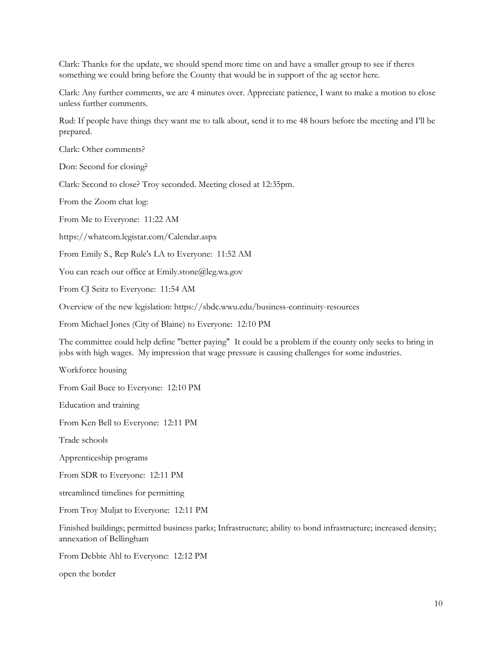Clark: Thanks for the update, we should spend more time on and have a smaller group to see if theres something we could bring before the County that would be in support of the ag sector here.

Clark: Any further comments, we are 4 minutes over. Appreciate patience, I want to make a motion to close unless further comments.

Rud: If people have things they want me to talk about, send it to me 48 hours before the meeting and I'll be prepared.

Clark: Other comments?

Don: Second for closing?

Clark: Second to close? Troy seconded. Meeting closed at 12:35pm.

From the Zoom chat log:

From Me to Everyone: 11:22 AM

https://whatcom.legistar.com/Calendar.aspx

From Emily S., Rep Rule's LA to Everyone: 11:52 AM

You can reach our office at Emily.stone@leg.wa.gov

From CJ Seitz to Everyone: 11:54 AM

Overview of the new legislation: https://sbdc.wwu.edu/business-continuity-resources

From Michael Jones (City of Blaine) to Everyone: 12:10 PM

The committee could help define "better paying" It could be a problem if the county only seeks to bring in jobs with high wages. My impression that wage pressure is causing challenges for some industries.

Workforce housing

From Gail Buce to Everyone: 12:10 PM

Education and training

From Ken Bell to Everyone: 12:11 PM

Trade schools

Apprenticeship programs

From SDR to Everyone: 12:11 PM

streamlined timelines for permitting

From Troy Muljat to Everyone: 12:11 PM

Finished buildings; permitted business parks; Infrastructure; ability to bond infrastructure; increased density; annexation of Bellingham

From Debbie Ahl to Everyone: 12:12 PM

open the border